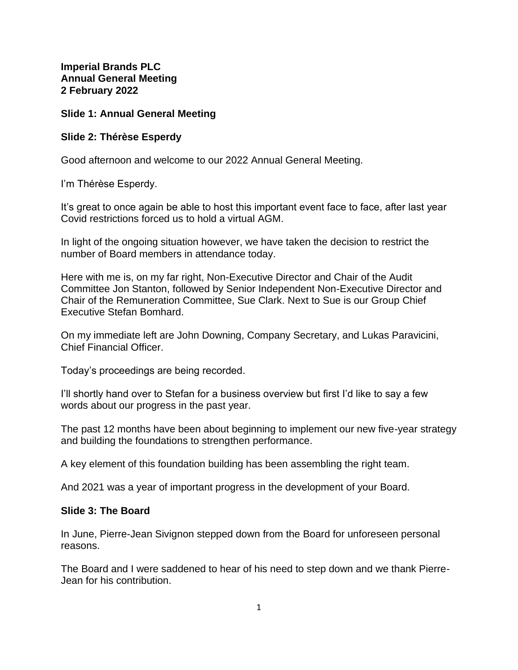**Imperial Brands PLC Annual General Meeting 2 February 2022**

## **Slide 1: Annual General Meeting**

### **Slide 2: Thérèse Esperdy**

Good afternoon and welcome to our 2022 Annual General Meeting.

I'm Thérèse Esperdy.

It's great to once again be able to host this important event face to face, after last year Covid restrictions forced us to hold a virtual AGM.

In light of the ongoing situation however, we have taken the decision to restrict the number of Board members in attendance today.

Here with me is, on my far right, Non-Executive Director and Chair of the Audit Committee Jon Stanton, followed by Senior Independent Non-Executive Director and Chair of the Remuneration Committee, Sue Clark. Next to Sue is our Group Chief Executive Stefan Bomhard.

On my immediate left are John Downing, Company Secretary, and Lukas Paravicini, Chief Financial Officer.

Today's proceedings are being recorded.

I'll shortly hand over to Stefan for a business overview but first I'd like to say a few words about our progress in the past year.

The past 12 months have been about beginning to implement our new five-year strategy and building the foundations to strengthen performance.

A key element of this foundation building has been assembling the right team.

And 2021 was a year of important progress in the development of your Board.

### **Slide 3: The Board**

In June, Pierre-Jean Sivignon stepped down from the Board for unforeseen personal reasons.

The Board and I were saddened to hear of his need to step down and we thank Pierre-Jean for his contribution.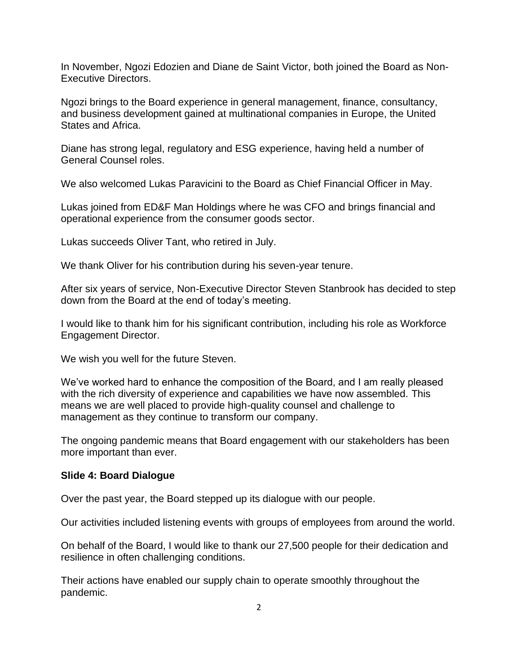In November, Ngozi Edozien and Diane de Saint Victor, both joined the Board as Non-Executive Directors.

Ngozi brings to the Board experience in general management, finance, consultancy, and business development gained at multinational companies in Europe, the United States and Africa.

Diane has strong legal, regulatory and ESG experience, having held a number of General Counsel roles.

We also welcomed Lukas Paravicini to the Board as Chief Financial Officer in May.

Lukas joined from ED&F Man Holdings where he was CFO and brings financial and operational experience from the consumer goods sector.

Lukas succeeds Oliver Tant, who retired in July.

We thank Oliver for his contribution during his seven-year tenure.

After six years of service, Non-Executive Director Steven Stanbrook has decided to step down from the Board at the end of today's meeting.

I would like to thank him for his significant contribution, including his role as Workforce Engagement Director.

We wish you well for the future Steven.

We've worked hard to enhance the composition of the Board, and I am really pleased with the rich diversity of experience and capabilities we have now assembled. This means we are well placed to provide high-quality counsel and challenge to management as they continue to transform our company.

The ongoing pandemic means that Board engagement with our stakeholders has been more important than ever.

### **Slide 4: Board Dialogue**

Over the past year, the Board stepped up its dialogue with our people.

Our activities included listening events with groups of employees from around the world.

On behalf of the Board, I would like to thank our 27,500 people for their dedication and resilience in often challenging conditions.

Their actions have enabled our supply chain to operate smoothly throughout the pandemic.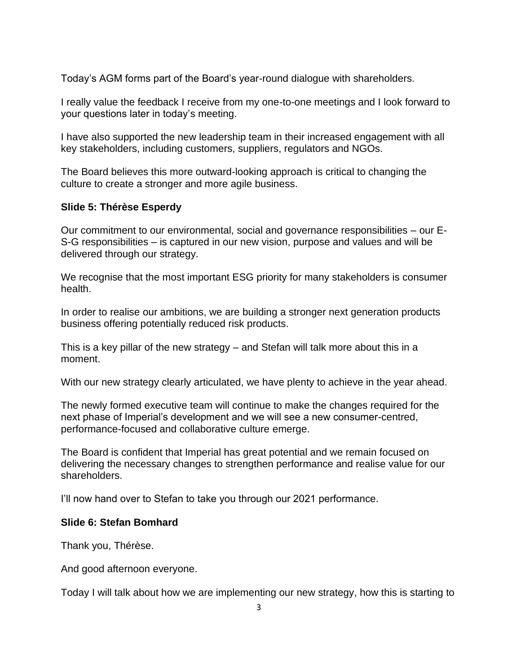Today's AGM forms part of the Board's year-round dialogue with shareholders.

I really value the feedback I receive from my one-to-one meetings and I look forward to your questions later in today's meeting.

I have also supported the new leadership team in their increased engagement with all key stakeholders, including customers, suppliers, regulators and NGOs.

The Board believes this more outward-looking approach is critical to changing the culture to create a stronger and more agile business.

# **Slide 5: Thérèse Esperdy**

Our commitment to our environmental, social and governance responsibilities – our E-S-G responsibilities – is captured in our new vision, purpose and values and will be delivered through our strategy.

We recognise that the most important ESG priority for many stakeholders is consumer health.

In order to realise our ambitions, we are building a stronger next generation products business offering potentially reduced risk products.

This is a key pillar of the new strategy – and Stefan will talk more about this in a moment.

With our new strategy clearly articulated, we have plenty to achieve in the year ahead.

The newly formed executive team will continue to make the changes required for the next phase of Imperial's development and we will see a new consumer-centred, performance-focused and collaborative culture emerge.

The Board is confident that Imperial has great potential and we remain focused on delivering the necessary changes to strengthen performance and realise value for our shareholders.

I'll now hand over to Stefan to take you through our 2021 performance.

# **Slide 6: Stefan Bomhard**

Thank you, Thérèse.

And good afternoon everyone.

Today I will talk about how we are implementing our new strategy, how this is starting to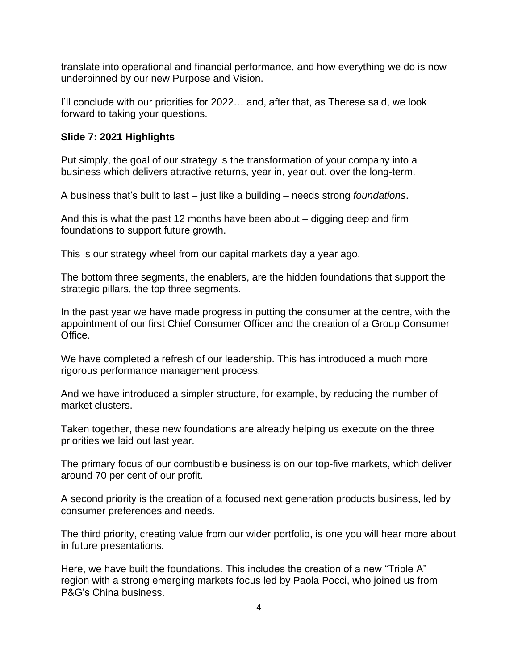translate into operational and financial performance, and how everything we do is now underpinned by our new Purpose and Vision.

I'll conclude with our priorities for 2022... and, after that, as Therese said, we look forward to taking your questions.

# **Slide 7: 2021 Highlights**

Put simply, the goal of our strategy is the transformation of your company into a business which delivers attractive returns, year in, year out, over the long-term.

A business that's built to last – just like a building – needs strong *foundations*.

And this is what the past 12 months have been about – digging deep and firm foundations to support future growth.

This is our strategy wheel from our capital markets day a year ago.

The bottom three segments, the enablers, are the hidden foundations that support the strategic pillars, the top three segments.

In the past year we have made progress in putting the consumer at the centre, with the appointment of our first Chief Consumer Officer and the creation of a Group Consumer Office.

We have completed a refresh of our leadership. This has introduced a much more rigorous performance management process.

And we have introduced a simpler structure, for example, by reducing the number of market clusters.

Taken together, these new foundations are already helping us execute on the three priorities we laid out last year.

The primary focus of our combustible business is on our top-five markets, which deliver around 70 per cent of our profit.

A second priority is the creation of a focused next generation products business, led by consumer preferences and needs.

The third priority, creating value from our wider portfolio, is one you will hear more about in future presentations.

Here, we have built the foundations. This includes the creation of a new "Triple A" region with a strong emerging markets focus led by Paola Pocci, who joined us from P&G's China business.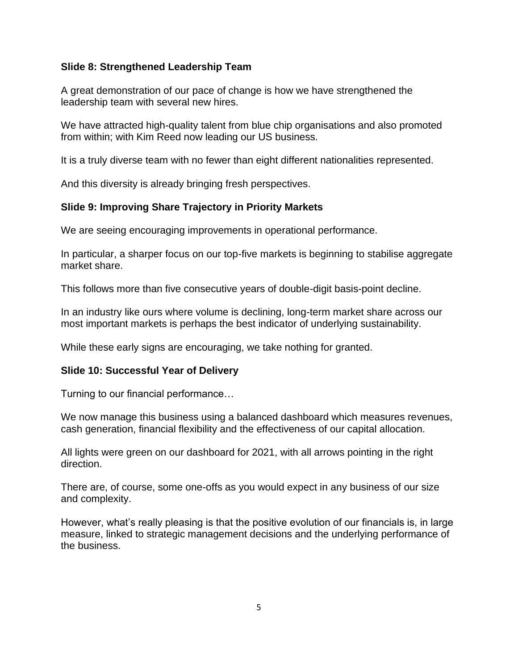## **Slide 8: Strengthened Leadership Team**

A great demonstration of our pace of change is how we have strengthened the leadership team with several new hires.

We have attracted high-quality talent from blue chip organisations and also promoted from within; with Kim Reed now leading our US business.

It is a truly diverse team with no fewer than eight different nationalities represented.

And this diversity is already bringing fresh perspectives.

# **Slide 9: Improving Share Trajectory in Priority Markets**

We are seeing encouraging improvements in operational performance.

In particular, a sharper focus on our top-five markets is beginning to stabilise aggregate market share.

This follows more than five consecutive years of double-digit basis-point decline.

In an industry like ours where volume is declining, long-term market share across our most important markets is perhaps the best indicator of underlying sustainability.

While these early signs are encouraging, we take nothing for granted.

# **Slide 10: Successful Year of Delivery**

Turning to our financial performance…

We now manage this business using a balanced dashboard which measures revenues, cash generation, financial flexibility and the effectiveness of our capital allocation.

All lights were green on our dashboard for 2021, with all arrows pointing in the right direction.

There are, of course, some one-offs as you would expect in any business of our size and complexity.

However, what's really pleasing is that the positive evolution of our financials is, in large measure, linked to strategic management decisions and the underlying performance of the business.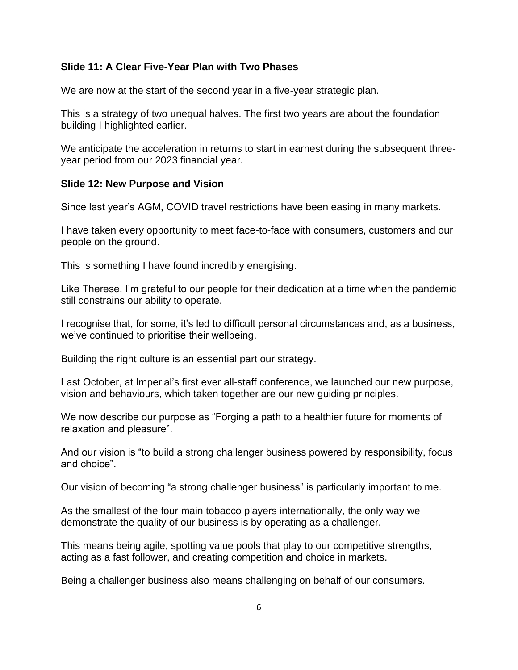## **Slide 11: A Clear Five-Year Plan with Two Phases**

We are now at the start of the second year in a five-year strategic plan.

This is a strategy of two unequal halves. The first two years are about the foundation building I highlighted earlier.

We anticipate the acceleration in returns to start in earnest during the subsequent threeyear period from our 2023 financial year.

#### **Slide 12: New Purpose and Vision**

Since last year's AGM, COVID travel restrictions have been easing in many markets.

I have taken every opportunity to meet face-to-face with consumers, customers and our people on the ground.

This is something I have found incredibly energising.

Like Therese, I'm grateful to our people for their dedication at a time when the pandemic still constrains our ability to operate.

I recognise that, for some, it's led to difficult personal circumstances and, as a business, we've continued to prioritise their wellbeing.

Building the right culture is an essential part our strategy.

Last October, at Imperial's first ever all-staff conference, we launched our new purpose, vision and behaviours, which taken together are our new guiding principles.

We now describe our purpose as "Forging a path to a healthier future for moments of relaxation and pleasure".

And our vision is "to build a strong challenger business powered by responsibility, focus and choice".

Our vision of becoming "a strong challenger business" is particularly important to me.

As the smallest of the four main tobacco players internationally, the only way we demonstrate the quality of our business is by operating as a challenger.

This means being agile, spotting value pools that play to our competitive strengths, acting as a fast follower, and creating competition and choice in markets.

Being a challenger business also means challenging on behalf of our consumers.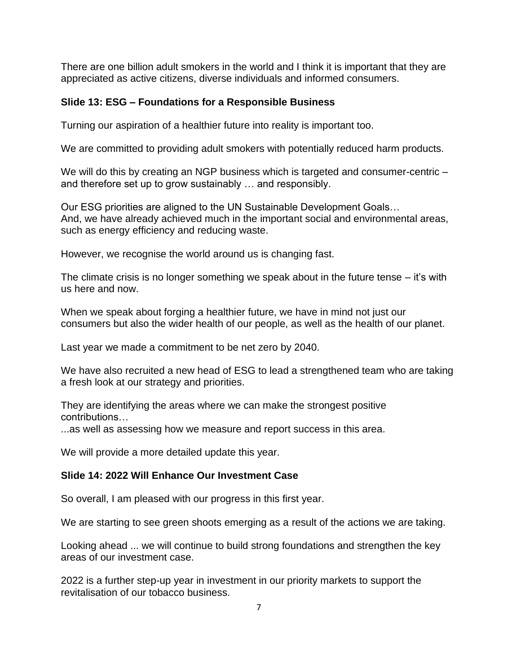There are one billion adult smokers in the world and I think it is important that they are appreciated as active citizens, diverse individuals and informed consumers.

## **Slide 13: ESG – Foundations for a Responsible Business**

Turning our aspiration of a healthier future into reality is important too.

We are committed to providing adult smokers with potentially reduced harm products.

We will do this by creating an NGP business which is targeted and consumer-centric – and therefore set up to grow sustainably … and responsibly.

Our ESG priorities are aligned to the UN Sustainable Development Goals… And, we have already achieved much in the important social and environmental areas, such as energy efficiency and reducing waste.

However, we recognise the world around us is changing fast.

The climate crisis is no longer something we speak about in the future tense – it's with us here and now.

When we speak about forging a healthier future, we have in mind not just our consumers but also the wider health of our people, as well as the health of our planet.

Last year we made a commitment to be net zero by 2040.

We have also recruited a new head of ESG to lead a strengthened team who are taking a fresh look at our strategy and priorities.

They are identifying the areas where we can make the strongest positive contributions…

...as well as assessing how we measure and report success in this area.

We will provide a more detailed update this year.

## **Slide 14: 2022 Will Enhance Our Investment Case**

So overall, I am pleased with our progress in this first year.

We are starting to see green shoots emerging as a result of the actions we are taking.

Looking ahead ... we will continue to build strong foundations and strengthen the key areas of our investment case.

2022 is a further step-up year in investment in our priority markets to support the revitalisation of our tobacco business.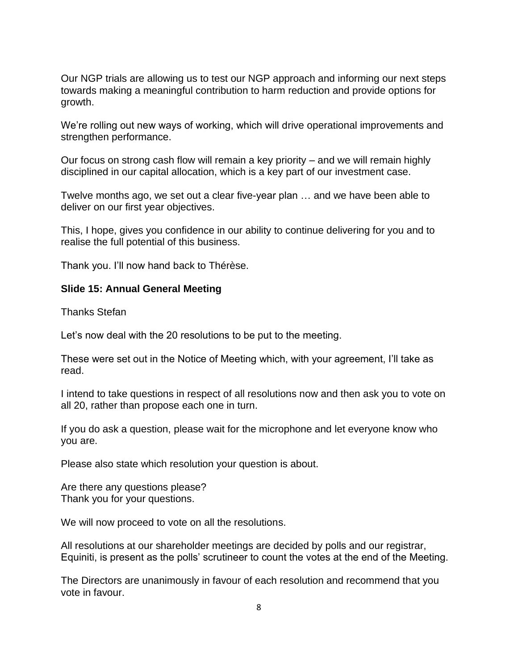Our NGP trials are allowing us to test our NGP approach and informing our next steps towards making a meaningful contribution to harm reduction and provide options for growth.

We're rolling out new ways of working, which will drive operational improvements and strengthen performance.

Our focus on strong cash flow will remain a key priority – and we will remain highly disciplined in our capital allocation, which is a key part of our investment case.

Twelve months ago, we set out a clear five-year plan … and we have been able to deliver on our first year objectives.

This, I hope, gives you confidence in our ability to continue delivering for you and to realise the full potential of this business.

Thank you. I'll now hand back to Thérèse.

### **Slide 15: Annual General Meeting**

Thanks Stefan

Let's now deal with the 20 resolutions to be put to the meeting.

These were set out in the Notice of Meeting which, with your agreement, I'll take as read.

I intend to take questions in respect of all resolutions now and then ask you to vote on all 20, rather than propose each one in turn.

If you do ask a question, please wait for the microphone and let everyone know who you are.

Please also state which resolution your question is about.

Are there any questions please? Thank you for your questions.

We will now proceed to vote on all the resolutions.

All resolutions at our shareholder meetings are decided by polls and our registrar, Equiniti, is present as the polls' scrutineer to count the votes at the end of the Meeting.

The Directors are unanimously in favour of each resolution and recommend that you vote in favour.